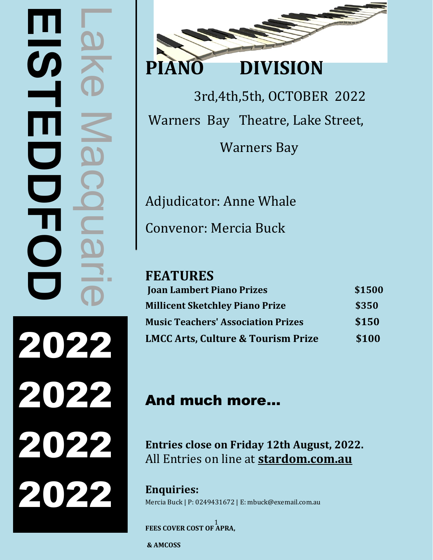# Lake Macquarie **EISTEDDE**  $\boldsymbol{\omega}$  $\overline{\phantom{0}}$  $\overline{\mathbf{O}}$ 2022 2022 2022 2022



3rd,4th,5th, OCTOBER 2022 Warners Bay Theatre, Lake Street,

Warners Bay

Adjudicator: Anne Whale

Convenor: Mercia Buck

# **FEATURES**

| <b>Joan Lambert Piano Prizes</b>              | \$1500 |
|-----------------------------------------------|--------|
| <b>Millicent Sketchley Piano Prize</b>        | \$350  |
| <b>Music Teachers' Association Prizes</b>     | \$150  |
| <b>LMCC Arts, Culture &amp; Tourism Prize</b> | \$100  |

# And much more…

**Entries close on Friday 12th August, 2022.**  All Entries on line at **stardom.com.au**

**Enquiries:** Mercia Buck | P: 0249431672 | E: mbuck@exemail.com.au

1 **FEES COVER COST OF APRA,**

**& AMCOSS**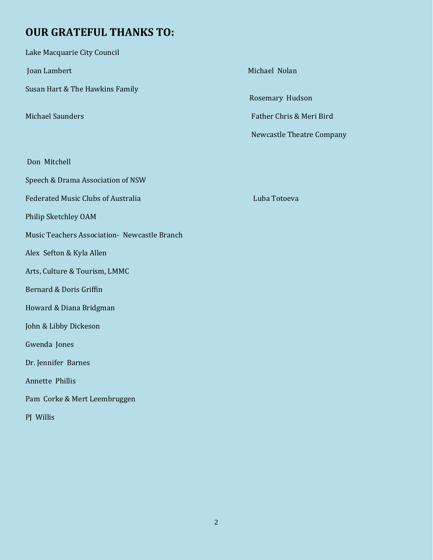# **OUR GRATEFUL THANKS TO:**

| Lake Macquarie City Council                  |                                  |
|----------------------------------------------|----------------------------------|
| Joan Lambert                                 | Michael Nolan                    |
| Susan Hart & The Hawkins Family              | Rosemary Hudson                  |
| <b>Michael Saunders</b>                      | Father Chris & Meri Bird         |
|                                              | <b>Newcastle Theatre Company</b> |
| Don Mitchell                                 |                                  |
| Speech & Drama Association of NSW            |                                  |
| <b>Federated Music Clubs of Australia</b>    | Luba Totoeva                     |
| Philip Sketchley OAM                         |                                  |
| Music Teachers Association- Newcastle Branch |                                  |
| Alex Sefton & Kyla Allen                     |                                  |
| Arts, Culture & Tourism, LMMC                |                                  |
| Bernard & Doris Griffin                      |                                  |
| Howard & Diana Bridgman                      |                                  |
| John & Libby Dickeson                        |                                  |
| Gwenda Jones                                 |                                  |
| Dr. Jennifer Barnes                          |                                  |
| Annette Phillis                              |                                  |
| Pam Corke & Mert Leembruggen                 |                                  |
| PJ Willis                                    |                                  |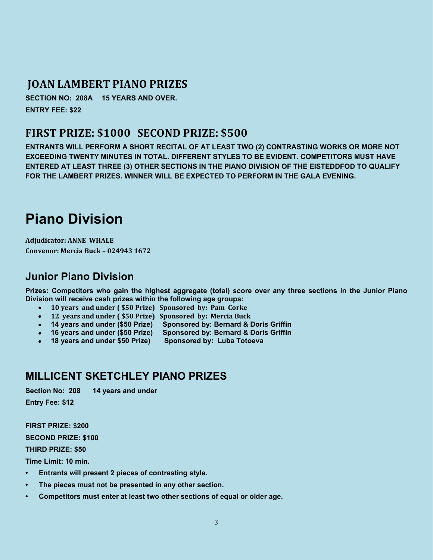# **JOAN LAMBERT PIANO PRIZES**

**SECTION NO: 208A 15 YEARS AND OVER. ENTRY FEE: \$22** 

# **FIRST PRIZE: \$1000 SECOND PRIZE: \$500**

**ENTRANTS WILL PERFORM A SHORT RECITAL OF AT LEAST TWO (2) CONTRASTING WORKS OR MORE NOT EXCEEDING TWENTY MINUTES IN TOTAL. DIFFERENT STYLES TO BE EVIDENT. COMPETITORS MUST HAVE ENTERED AT LEAST THREE (3) OTHER SECTIONS IN THE PIANO DIVISION OF THE EISTEDDFOD TO QUALIFY FOR THE LAMBERT PRIZES. WINNER WILL BE EXPECTED TO PERFORM IN THE GALA EVENING.** 

# **Piano Division**

**Adjudicator: ANNE WHALE Convenor: Mercia Buck – 024943 1672**

# **Junior Piano Division**

**Prizes: Competitors who gain the highest aggregate (total) score over any three sections in the Junior Piano Division will receive cash prizes within the following age groups:**

- **10 years and under ( \$50 Prize) Sponsored by: Pam Corke**
- **12 years and under ( \$50 Prize) Sponsored by: Mercia Buck**
- **14 years and under (\$50 Prize) Sponsored by: Bernard & Doris Griffin**
- **16 years and under (\$50 Prize) Sponsored by: Bernard & Doris Griffin**
- **18 years and under \$50 Prize)**

# **MILLICENT SKETCHLEY PIANO PRIZES**

**Section No: 208 14 years and under**

**Entry Fee: \$12** 

**FIRST PRIZE: \$200 SECOND PRIZE: \$100** 

**THIRD PRIZE: \$50**

**Time Limit: 10 min.**

- **Entrants will present 2 pieces of contrasting style.**
- **The pieces must not be presented in any other section.**
- **Competitors must enter at least two other sections of equal or older age.**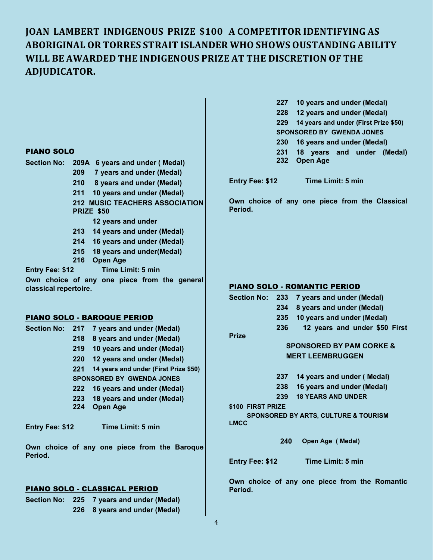# **JOAN LAMBERT INDIGENOUS PRIZE \$100 A COMPETITOR IDENTIFYING AS ABORIGINAL OR TORRES STRAIT ISLANDER WHO SHOWS OUSTANDING ABILITY WILL BE AWARDED THE INDIGENOUS PRIZE AT THE DISCRETION OF THE ADJUDICATOR.**

**Section No: 209A 6 years and under ( Medal)**

- **209 7 years and under (Medal)**
- **210 8 years and under (Medal)**
- **211 10 years and under (Medal)**
- **212 MUSIC TEACHERS ASSOCIATION PRIZE \$50**
	- **12 years and under**
- **213 14 years and under (Medal)**
- **214 16 years and under (Medal)**
- **215 18 years and under(Medal)**
- **216 Open Age**

**Entry Fee: \$12 Time Limit: 5 min**

**Own choice of any one piece from the general classical repertoire.**

### PIANO SOLO - BAROQUE PERIOD

- **Section No: 217 7 years and under (Medal) 218 8 years and under (Medal) 219 10 years and under (Medal) 220 12 years and under (Medal) 221 14 years and under (First Prize \$50) SPONSORED BY GWENDA JONES 222 16 years and under (Medal) 223 18 years and under (Medal)**
	- **224 Open Age**

**Entry Fee: \$12 Time Limit: 5 min**

**Own choice of any one piece from the Baroque Period.**

### PIANO SOLO - CLASSICAL PERIOD

**Section No: 225 7 years and under (Medal) 226 8 years and under (Medal)**

| 227 10 years and under (Medal)            |
|-------------------------------------------|
| 228 12 years and under (Medal)            |
| 229 14 years and under (First Prize \$50) |
| <b>SPONSORED BY GWENDA JONES</b>          |
| 230 16 years and under (Medal)            |
| 231 18 years and under (Medal)            |
| 232 Open Age                              |

**Entry Fee: \$12 Time Limit: 5 min**

**Own choice of any one piece from the Classical Period.**

### PIANO SOLO - ROMANTIC PERIOD

| <b>Section No:</b>     | 233 | 7 years and under (Medal)                       |
|------------------------|-----|-------------------------------------------------|
|                        | 234 | 8 years and under (Medal)                       |
|                        | 235 | 10 years and under (Medal)                      |
|                        | 236 | 12 years and under \$50 First                   |
| <b>Prize</b>           |     |                                                 |
|                        |     | <b>SPONSORED BY PAM CORKE &amp;</b>             |
|                        |     | <b>MERT LEEMBRUGGEN</b>                         |
|                        | 237 | 14 years and under (Medal)                      |
|                        | 238 | 16 years and under (Medal)                      |
|                        | 239 | <b>18 YEARS AND UNDER</b>                       |
| \$100 FIRST PRIZE      |     |                                                 |
| <b>LMCC</b>            |     | <b>SPONSORED BY ARTS, CULTURE &amp; TOURISM</b> |
|                        | 240 | Open Age (Medal)                                |
| <b>Entry Fee: \$12</b> |     | Time Limit: 5 min                               |

**Own choice of any one piece from the Romantic Period.**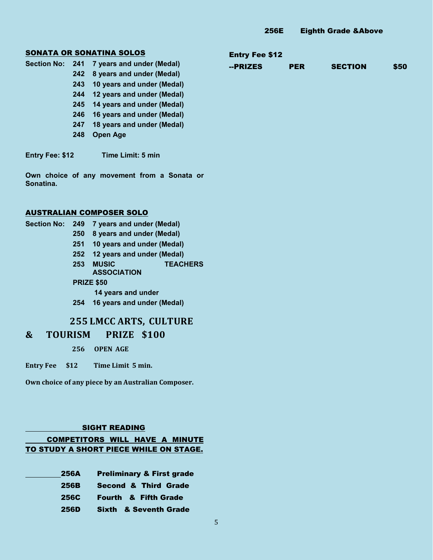### SONATA OR SONATINA SOLOS

| Section No: 241 |     | 7 years and under (Medal)  |  |  |  |  |
|-----------------|-----|----------------------------|--|--|--|--|
|                 | 242 | 8 years and under (Medal)  |  |  |  |  |
|                 | 243 | 10 years and under (Medal) |  |  |  |  |
|                 | 244 | 12 years and under (Medal) |  |  |  |  |
|                 | 245 | 14 years and under (Medal) |  |  |  |  |
|                 | 246 | 16 years and under (Medal) |  |  |  |  |
|                 | 247 | 18 years and under (Medal) |  |  |  |  |
|                 | 248 | <b>Open Age</b>            |  |  |  |  |

**Entry Fee: \$12 Time Limit: 5 min**

**Own choice of any movement from a Sonata or Sonatina.**

### AUSTRALIAN COMPOSER SOLO

| Section No: | 249 | 7 years and under (Medal)       |
|-------------|-----|---------------------------------|
|             | 250 | 8 years and under (Medal)       |
|             | 251 | 10 years and under (Medal)      |
|             | 252 | 12 years and under (Medal)      |
|             | 253 | <b>MUSIC</b><br><b>TEACHERS</b> |
|             |     | <b>ASSOCIATION</b>              |
|             |     | <b>PRIZE \$50</b>               |
|             |     | 14 years and under              |
|             | 254 | 16 years and under (Medal)      |
|             |     | <b>255 LMCC ARTS, CULTURE</b>   |

## **& TOURISM PRIZE \$100**

**256 OPEN AGE** 

**Entry Fee \$12 Time Limit 5 min.**

**Own choice of any piece by an Australian Composer.**

### SIGHT READING

### COMPETITORS WILL HAVE A MINUTE TO STUDY A SHORT PIECE WHILE ON STAGE.

| 256A        | <b>Preliminary &amp; First grade</b> |  |  |  |  |
|-------------|--------------------------------------|--|--|--|--|
| 256B        | <b>Second &amp; Third Grade</b>      |  |  |  |  |
| <b>256C</b> | <b>Fourth &amp; Fifth Grade</b>      |  |  |  |  |
| 256D        | <b>Sixth &amp; Seventh Grade</b>     |  |  |  |  |

### Entry Fee \$12

| --PRIZES | <b>PER</b> | <b>SECTION</b> | \$50 |
|----------|------------|----------------|------|
|----------|------------|----------------|------|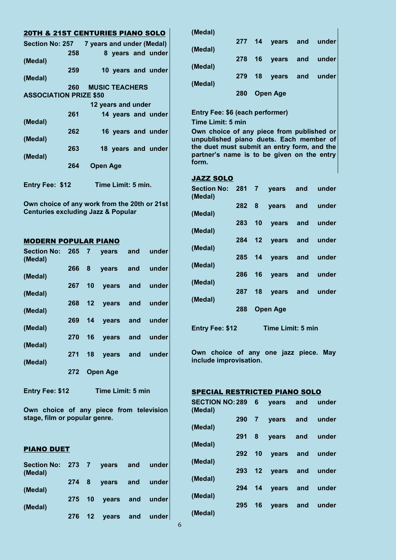| <b>20TH &amp; 21ST CENTURIES PIANO SOLO</b> |     |                       |                    |                    |
|---------------------------------------------|-----|-----------------------|--------------------|--------------------|
| Section No: 257 7 years and under (Medal)   |     |                       |                    |                    |
|                                             | 258 |                       |                    | 8 years and under  |
| (Medal)                                     |     |                       |                    |                    |
|                                             | 259 |                       |                    | 10 years and under |
| (Medal)                                     |     |                       |                    |                    |
|                                             | 260 | <b>MUSIC TEACHERS</b> |                    |                    |
| <b>ASSOCIATION PRIZE \$50</b>               |     |                       |                    |                    |
|                                             |     |                       | 12 years and under |                    |
|                                             | 261 |                       |                    | 14 years and under |
| (Medal)                                     |     |                       |                    |                    |
|                                             | 262 |                       |                    | 16 years and under |
| (Medal)                                     |     |                       |                    |                    |
|                                             | 263 |                       |                    | 18 years and under |
| (Medal)                                     |     |                       |                    |                    |
|                                             | 264 | <b>Open Age</b>       |                    |                    |
|                                             |     |                       |                    |                    |
| <b>Entry Fee: \$12</b>                      |     |                       | Time Limit: 5 min. |                    |

**Own choice of any work from the 20th or 21st Centuries excluding Jazz & Popular** 

### MODERN POPULAR PIANO

| 272 |            |     |                       |                                                                                                                                                                               |
|-----|------------|-----|-----------------------|-------------------------------------------------------------------------------------------------------------------------------------------------------------------------------|
|     | 268<br>270 | 271 | 18<br><b>Open Age</b> | Section No: 265 7 years and under<br>266 8 years and under<br>267 10 years and under<br>12 years and under<br>269 14 years and under<br>16 years and under<br>years and under |

**Entry Fee: \$12 Time Limit: 5 min**

**Own choice of any piece from television stage, film or popular genre.**

### PIANO DUET

| Section No: 273 7 years and under<br>(Medal) |  |                        |  |
|----------------------------------------------|--|------------------------|--|
| (Medal)                                      |  | 274 8 years and under  |  |
| (Medal)                                      |  | 275 10 years and under |  |
|                                              |  | 276 12 years and under |  |

|         | 280 | <b>Open Age</b> |                        |  |  |
|---------|-----|-----------------|------------------------|--|--|
| (Medal) |     |                 | 279 18 years and under |  |  |
| (Medal) |     |                 | 278 16 years and under |  |  |
| (Medal) |     |                 | 277 14 years and under |  |  |
| (Medal) |     |                 |                        |  |  |

### **Entry Fee: \$6 (each performer) Time Limit: 5 min**

**Own choice of any piece from published or unpublished piano duets. Each member of the duet must submit an entry form, and the partner's name is to be given on the entry form.**

### JAZZ SOLO

| Section No: 281 7 years and under<br>(Medal) |     |                        |  |
|----------------------------------------------|-----|------------------------|--|
| (Medal)                                      |     | 282 8 years and under  |  |
|                                              |     | 283 10 years and under |  |
| (Medal)                                      |     |                        |  |
| (Medal)                                      |     | 284 12 years and under |  |
| (Medal)                                      |     | 285 14 years and under |  |
|                                              |     | 286 16 years and under |  |
| (Medal)                                      |     |                        |  |
| (Medal)                                      |     | 287 18 years and under |  |
|                                              | 288 | <b>Open Age</b>        |  |
|                                              |     |                        |  |

**Entry Fee: \$12 Time Limit: 5 min**

**Own choice of any one jazz piece. May include improvisation.**

### SPECIAL RESTRICTED PIANO SOLO

| SECTION NO: 289 6<br>(Medal) |        |    | years and              | under           |
|------------------------------|--------|----|------------------------|-----------------|
|                              |        |    | 290 7 years and        | under           |
| (Medal)                      | 291 8  |    | years and              | under           |
| (Medal)                      |        |    |                        |                 |
| (Medal)                      |        |    | 292 10 years and       | under           |
|                              |        |    | 293 12 years and under |                 |
| (Medal)                      | 294 14 |    | years and              | under           |
| (Medal)                      |        |    |                        |                 |
| (Medal)                      | 295    | 16 |                        | years and under |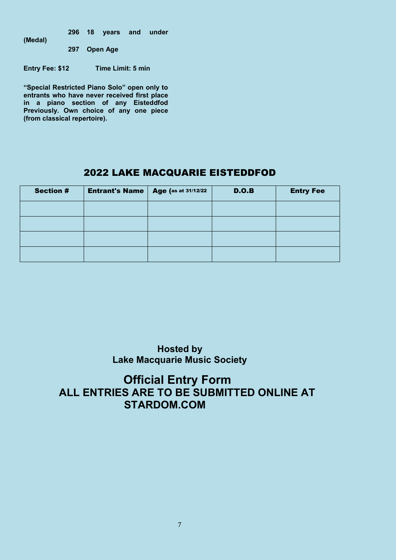**296 18 years and under** 

**(Medal)**

**297 Open Age**

**Entry Fee: \$12 Time Limit: 5 min**

**"Special Restricted Piano Solo" open only to entrants who have never received first place in a piano section of any Eisteddfod Previously. Own choice of any one piece (from classical repertoire).**

# 2022 LAKE MACQUARIE EISTEDDFOD

| <b>Section #</b> | <b>Entrant's Name</b> | Age (as at 31/12/22 | D.O.B | <b>Entry Fee</b> |
|------------------|-----------------------|---------------------|-------|------------------|
|                  |                       |                     |       |                  |
|                  |                       |                     |       |                  |
|                  |                       |                     |       |                  |
|                  |                       |                     |       |                  |

**Hosted by Lake Macquarie Music Society**

# **Official Entry Form ALL ENTRIES ARE TO BE SUBMITTED ONLINE AT STARDOM.COM**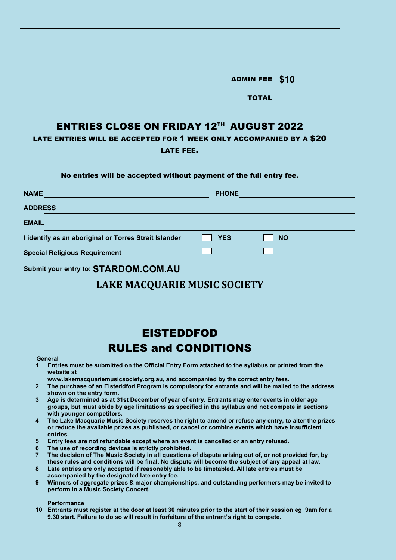|  | ADMIN FEE \$10 |  |
|--|----------------|--|
|  | <b>TOTAL</b>   |  |

# ENTRIES CLOSE ON FRIDAY 12TH AUGUST 2022

LATE ENTRIES WILL BE ACCEPTED FOR 1 WEEK ONLY ACCOMPANIED BY A \$20 LATE FEE.

### No entries will be accepted without payment of the full entry fee.

| <b>NAME</b>                                           | <b>PHONE</b> |           |
|-------------------------------------------------------|--------------|-----------|
| <b>ADDRESS</b>                                        |              |           |
| <b>EMAIL</b>                                          |              |           |
| I identify as an aboriginal or Torres Strait Islander | <b>YES</b>   | <b>NO</b> |
| <b>Special Religious Requirement</b>                  |              |           |
| Submit your entry to: STARDOM.COM.AU                  |              |           |

# **LAKE MACQUARIE MUSIC SOCIETY**

# EISTEDDFOD **RULES and CONDITIONS**

- **1 Entries must be submitted on the Official Entry Form attached to the syllabus or printed from the website at**
- **www.lakemacquariemusicsociety.org.au, and accompanied by the correct entry fees.**
- **2 The purchase of an Eisteddfod Program is compulsory for entrants and will be mailed to the address shown on the entry form.**
- **3 Age is determined as at 31st December of year of entry. Entrants may enter events in older age groups, but must abide by age limitations as specified in the syllabus and not compete in sections with younger competitors.**
- **4 The Lake Macquarie Music Society reserves the right to amend or refuse any entry, to alter the prizes or reduce the available prizes as published, or cancel or combine events which have insufficient entries.**
- **5 Entry fees are not refundable except where an event is cancelled or an entry refused.**
- **6 The use of recording devices is strictly prohibited.**
- **7 The decision of The Music Society in all questions of dispute arising out of, or not provided for, by these rules and conditions will be final. No dispute will become the subject of any appeal at law.**
- **8 Late entries are only accepted if reasonably able to be timetabled. All late entries must be accompanied by the designated late entry fee.**
- **9 Winners of aggregate prizes & major championships, and outstanding performers may be invited to perform in a Music Society Concert.**

### **Performance**

**10 Entrants must register at the door at least 30 minutes prior to the start of their session eg 9am for a 9.30 start. Failure to do so will result in forfeiture of the entrant's right to compete.**